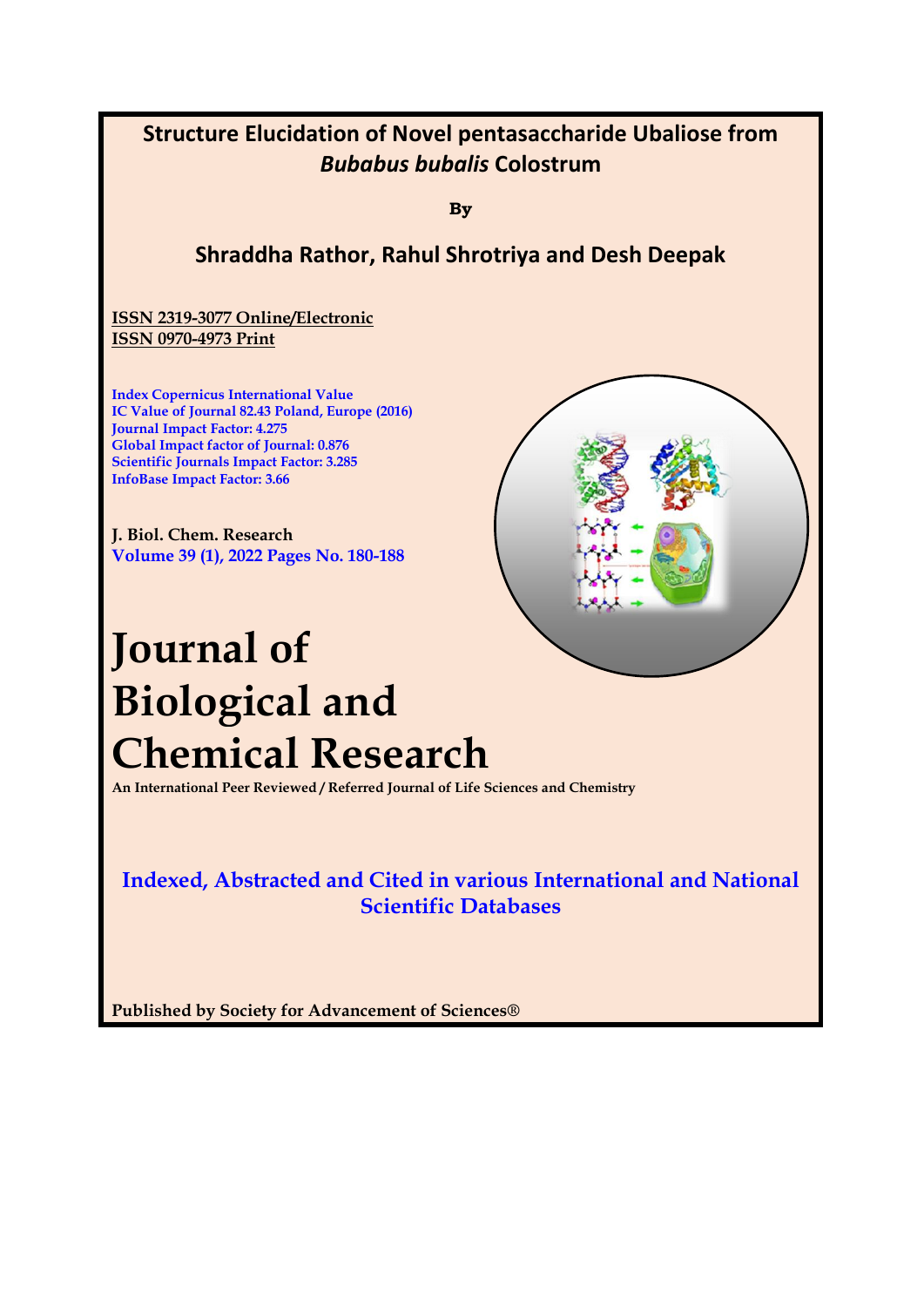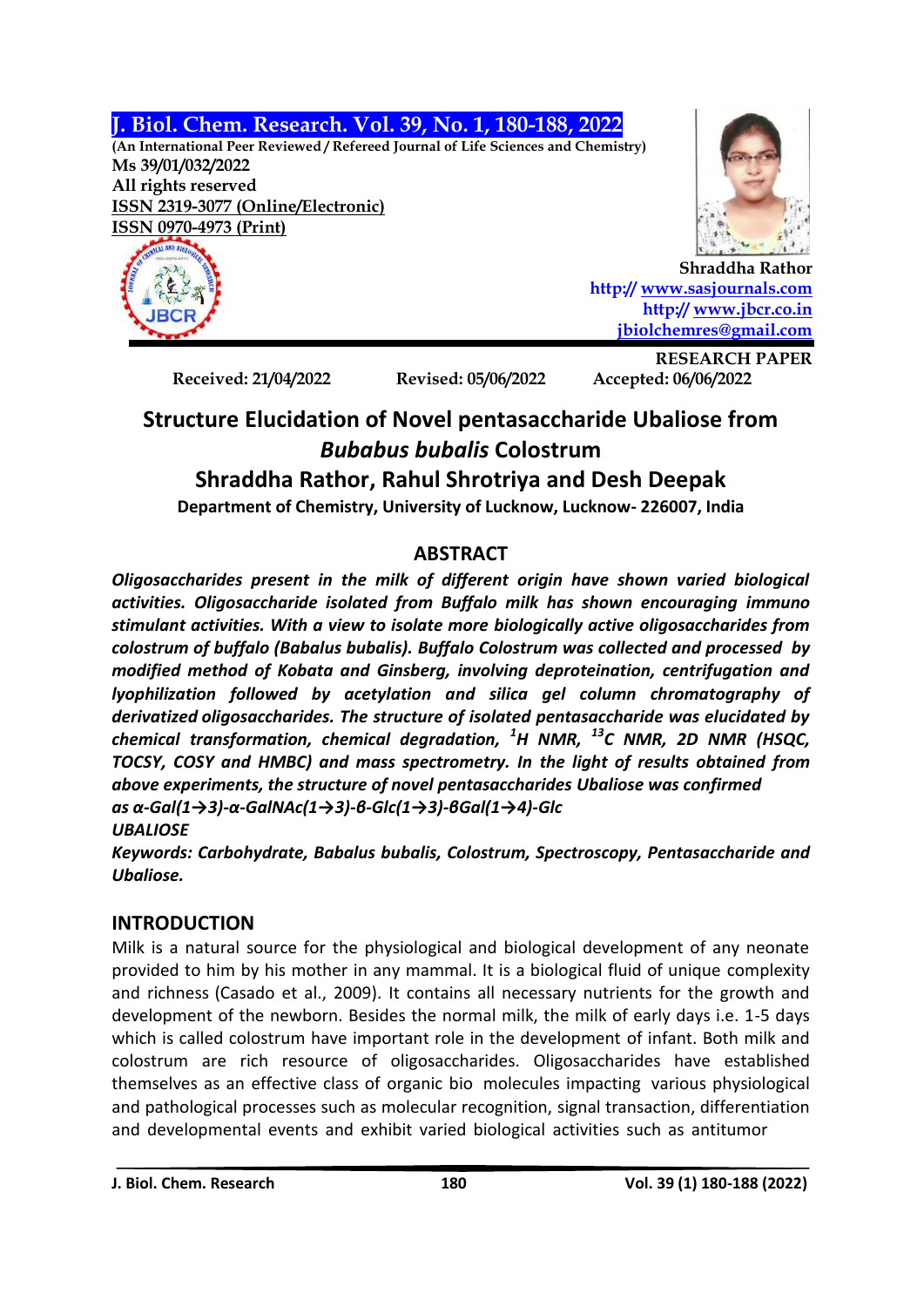**J. Biol. Chem. Research. Vol. 39, No. 1, 180-188, 2022**

**(An International Peer Reviewed / Refereed Journal of Life Sciences and Chemistry) Ms 39/01/032/2022 All rights reserved ISSN 2319-3077 (Online/Electronic) ISSN 0970-4973 (Print)**



**Shraddha Rathor http:// [www.sasjournals.com](http://www.sasjournals.com/) http:// [www.jbcr.co.in](http://www.jbcr.co.in/) [jbiolchemres@gmail.com](mailto:jbiolchemres@gmail.com)**

**Received: 21/04/2022 Revised: 05/06/2022 Accepted: 06/06/2022**

**RESEARCH PAPER**

# **Structure Elucidation of Novel pentasaccharide Ubaliose from**  *Bubabus bubalis* **Colostrum**

## **Shraddha Rathor, Rahul Shrotriya and Desh Deepak**

**Department of Chemistry, University of Lucknow, Lucknow- 226007, India**

## **ABSTRACT**

*Oligosaccharides present in the milk of different origin have shown varied biological activities. Oligosaccharide isolated from Buffalo milk has shown encouraging immuno stimulant activities. With a view to isolate more biologically active oligosaccharides from colostrum of buffalo (Babalus bubalis). Buffalo Colostrum was collected and processed by modified method of Kobata and Ginsberg, involving deproteination, centrifugation and lyophilization followed by acetylation and silica gel column chromatography of derivatized oligosaccharides. The structure of isolated pentasaccharide was elucidated by chemical transformation, chemical degradation, <sup>1</sup>H NMR, <sup>13</sup>C NMR, 2D NMR (HSQC, TOCSY, COSY and HMBC) and mass spectrometry. In the light of results obtained from above experiments, the structure of novel pentasaccharides Ubaliose was confirmed as α-Gal(1→3)-α-GalNAc(1→3)-β-Glc(1→3)-βGal(1→4)-Glc*

### *UBALIOSE*

*Keywords: Carbohydrate, Babalus bubalis, Colostrum, Spectroscopy, Pentasaccharide and Ubaliose.*

## **INTRODUCTION**

Milk is a natural source for the physiological and biological development of any neonate provided to him by his mother in any mammal. It is a biological fluid of unique complexity and richness (Casado et al., 2009). It contains all necessary nutrients for the growth and development of the newborn. Besides the normal milk, the milk of early days i.e. 1-5 days which is called colostrum have important role in the development of infant. Both milk and colostrum are rich resource of oligosaccharides. Oligosaccharides have established themselves as an effective class of organic bio molecules impacting various physiological and pathological processes such as molecular recognition, signal transaction, differentiation and developmental events and exhibit varied biological activities such as antitumor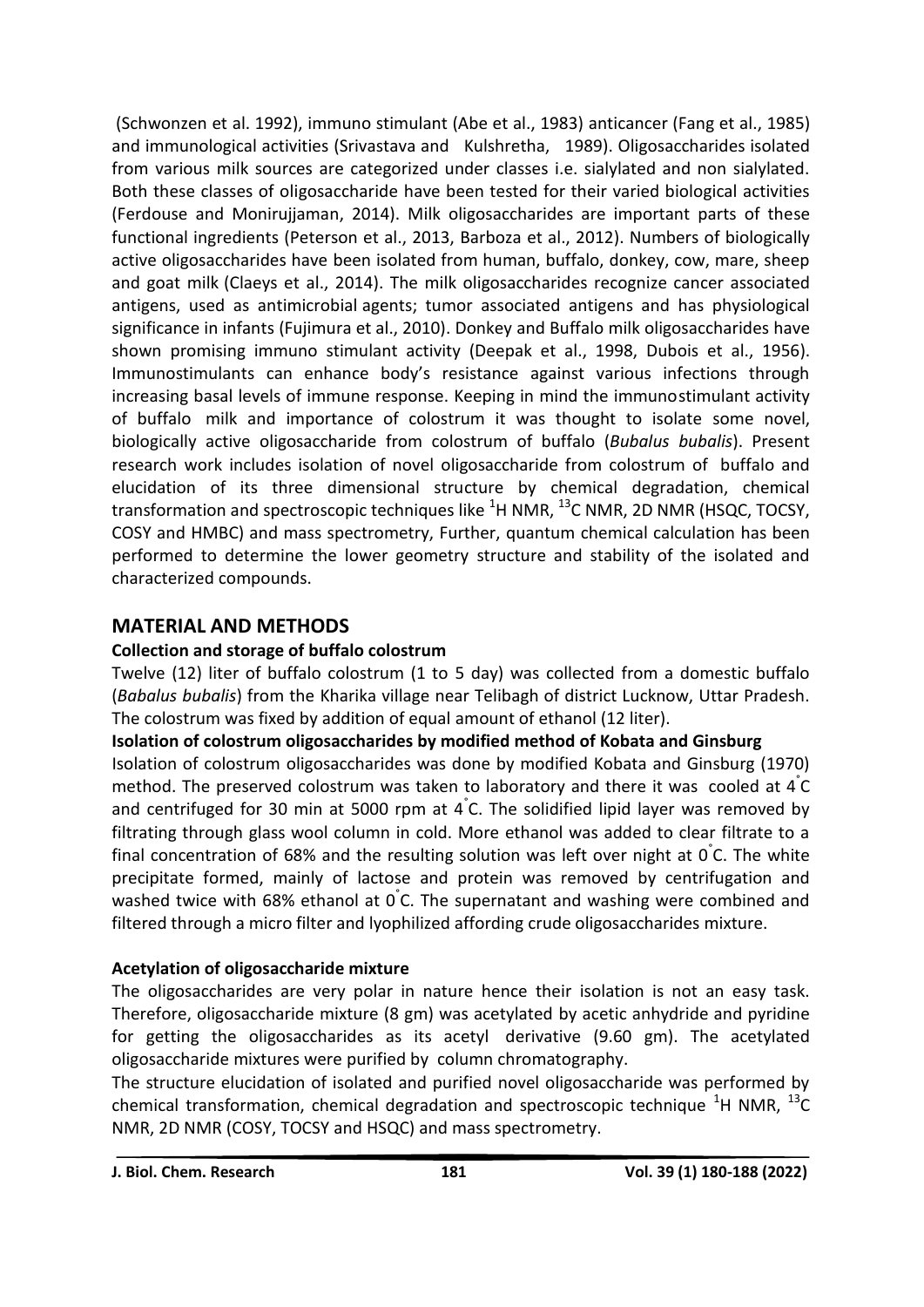(Schwonzen et al. 1992), immuno stimulant (Abe et al., 1983) anticancer (Fang et al., 1985) and immunological activities (Srivastava and Kulshretha, 1989). Oligosaccharides isolated from various milk sources are categorized under classes i.e. sialylated and non sialylated. Both these classes of oligosaccharide have been tested for their varied biological activities (Ferdouse and Monirujjaman, 2014). Milk oligosaccharides are important parts of these functional ingredients (Peterson et al., 2013, Barboza et al., 2012). Numbers of biologically active oligosaccharides have been isolated from human, buffalo, donkey, cow, mare, sheep and goat milk (Claeys et al., 2014). The milk oligosaccharides recognize cancer associated antigens, used as antimicrobial agents; tumor associated antigens and has physiological significance in infants (Fujimura et al., 2010). Donkey and Buffalo milk oligosaccharides have shown promising immuno stimulant activity (Deepak et al., 1998, Dubois et al., 1956). Immunostimulants can enhance body's resistance against various infections through increasing basal levels of immune response. Keeping in mind the immunostimulant activity of buffalo milk and importance of colostrum it was thought to isolate some novel, biologically active oligosaccharide from colostrum of buffalo (*Bubalus bubalis*). Present research work includes isolation of novel oligosaccharide from colostrum of buffalo and elucidation of its three dimensional structure by chemical degradation, chemical transformation and spectroscopic techniques like  ${}^{1}$ H NMR,  ${}^{13}$ C NMR, 2D NMR (HSQC, TOCSY, COSY and HMBC) and mass spectrometry, Further, quantum chemical calculation has been performed to determine the lower geometry structure and stability of the isolated and characterized compounds.

### **MATERIAL AND METHODS**

#### **Collection and storage of buffalo colostrum**

Twelve (12) liter of buffalo colostrum (1 to 5 day) was collected from a domestic buffalo (*Babalus bubalis*) from the Kharika village near Telibagh of district Lucknow, Uttar Pradesh. The colostrum was fixed by addition of equal amount of ethanol (12 liter).

#### **Isolation of colostrum oligosaccharides by modified method of Kobata and Ginsburg**

Isolation of colostrum oligosaccharides was done by modified Kobata and Ginsburg (1970) method. The preserved colostrum was taken to laboratory and there it was cooled at  $\mathbf{4}^{\circ}$ C and centrifuged for 30 min at 5000 rpm at 4° C. The solidified lipid layer was removed by filtrating through glass wool column in cold. More ethanol was added to clear filtrate to a final concentration of 68% and the resulting solution was left over night at  $0\degree$ C. The white precipitate formed, mainly of lactose and protein was removed by centrifugation and washed twice with 68% ethanol at 0<sup>°</sup>C. The supernatant and washing were combined and filtered through a micro filter and lyophilized affording crude oligosaccharides mixture.

#### **Acetylation of oligosaccharide mixture**

The oligosaccharides are very polar in nature hence their isolation is not an easy task. Therefore, oligosaccharide mixture (8 gm) was acetylated by acetic anhydride and pyridine for getting the oligosaccharides as its acetyl derivative (9.60 gm). The acetylated oligosaccharide mixtures were purified by column chromatography.

The structure elucidation of isolated and purified novel oligosaccharide was performed by chemical transformation, chemical degradation and spectroscopic technique  ${}^{1}$ H NMR,  ${}^{13}$ C NMR, 2D NMR (COSY, TOCSY and HSQC) and mass spectrometry.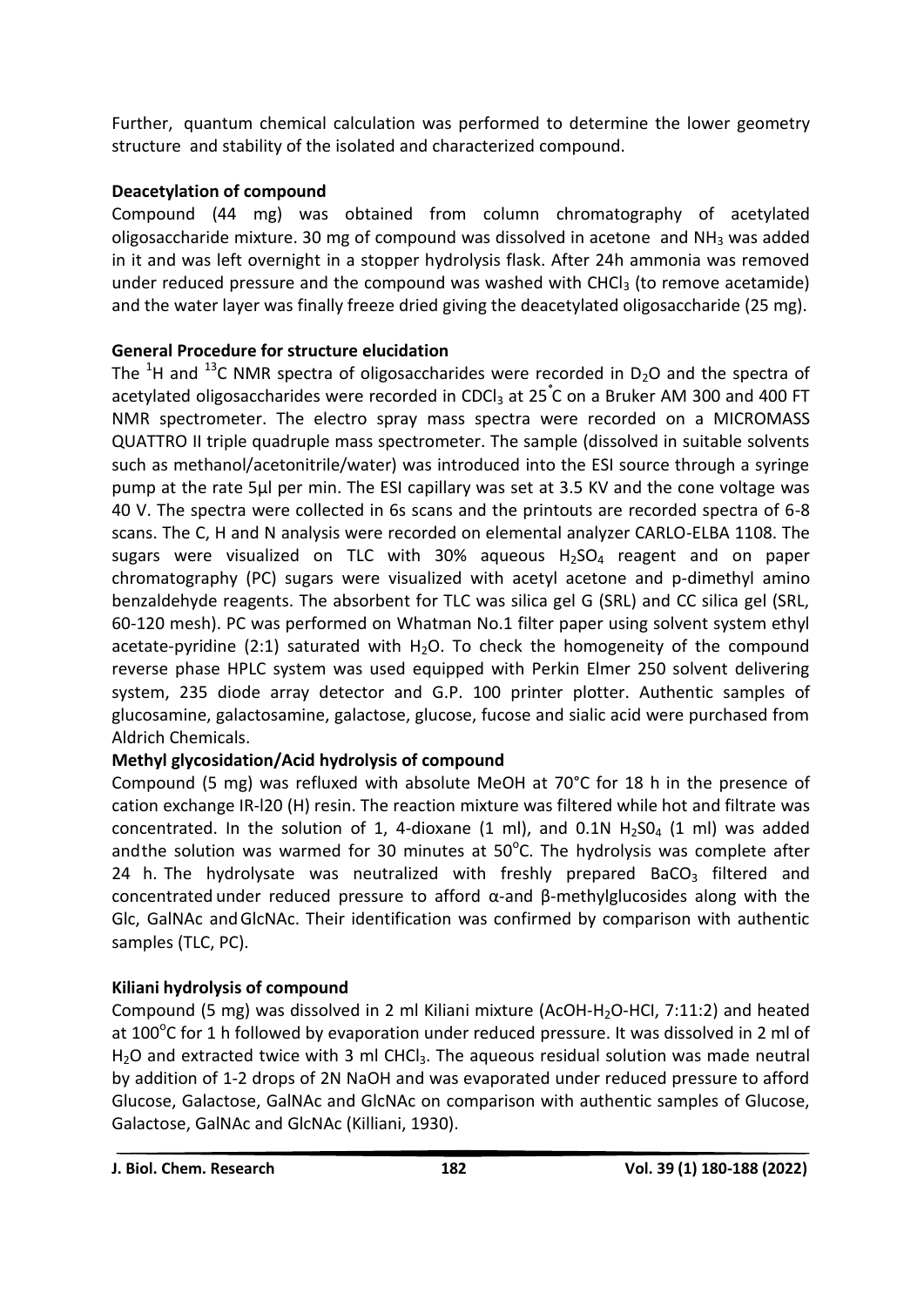Further, quantum chemical calculation was performed to determine the lower geometry structure and stability of the isolated and characterized compound.

### **Deacetylation of compound**

Compound (44 mg) was obtained from column chromatography of acetylated oligosaccharide mixture. 30 mg of compound was dissolved in acetone and  $NH<sub>3</sub>$  was added in it and was left overnight in a stopper hydrolysis flask. After 24h ammonia was removed under reduced pressure and the compound was washed with CHCl $_3$  (to remove acetamide) and the water layer was finally freeze dried giving the deacetylated oligosaccharide (25 mg).

### **General Procedure for structure elucidation**

The <sup>1</sup>H and <sup>13</sup>C NMR spectra of oligosaccharides were recorded in D<sub>2</sub>O and the spectra of acetylated oligosaccharides were recorded in CDCl<sub>3</sub> at 25<sup>°</sup>C on a Bruker AM 300 and 400 FT NMR spectrometer. The electro spray mass spectra were recorded on a MICROMASS QUATTRO II triple quadruple mass spectrometer. The sample (dissolved in suitable solvents such as methanol/acetonitrile/water) was introduced into the ESI source through a syringe pump at the rate 5µl per min. The ESI capillary was set at 3.5 KV and the cone voltage was 40 V. The spectra were collected in 6s scans and the printouts are recorded spectra of 6-8 scans. The C, H and N analysis were recorded on elemental analyzer CARLO-ELBA 1108. The sugars were visualized on TLC with 30% aqueous  $H<sub>2</sub>SO<sub>4</sub>$  reagent and on paper chromatography (PC) sugars were visualized with acetyl acetone and p-dimethyl amino benzaldehyde reagents. The absorbent for TLC was silica gel G (SRL) and CC silica gel (SRL, 60-120 mesh). PC was performed on Whatman No.1 filter paper using solvent system ethyl acetate-pyridine (2:1) saturated with  $H_2O$ . To check the homogeneity of the compound reverse phase HPLC system was used equipped with Perkin Elmer 250 solvent delivering system, 235 diode array detector and G.P. 100 printer plotter. Authentic samples of glucosamine, galactosamine, galactose, glucose, fucose and sialic acid were purchased from Aldrich Chemicals.

### **Methyl glycosidation/Acid hydrolysis of compound**

Compound (5 mg) was refluxed with absolute MeOH at 70°C for 18 h in the presence of cation exchange IR-l20 (H) resin. The reaction mixture was filtered while hot and filtrate was concentrated. In the solution of 1, 4-dioxane (1 ml), and 0.1N  $H_2SO_4$  (1 ml) was added andthe solution was warmed for 30 minutes at 50 $^{\circ}$ C. The hydrolysis was complete after 24 h. The hydrolysate was neutralized with freshly prepared BaCO<sub>3</sub> filtered and concentrated under reduced pressure to afford α-and β-methylglucosides along with the Glc, GalNAc andGlcNAc. Their identification was confirmed by comparison with authentic samples (TLC, PC).

### **Kiliani hydrolysis of compound**

Compound (5 mg) was dissolved in 2 ml Kiliani mixture (AcOH-H2O-HCI, 7:11:2) and heated at 100 $\rm ^oC$  for 1 h followed by evaporation under reduced pressure. It was dissolved in 2 ml of H<sub>2</sub>O and extracted twice with 3 ml CHCl<sub>3</sub>. The aqueous residual solution was made neutral by addition of 1-2 drops of 2N NaOH and was evaporated under reduced pressure to afford Glucose, Galactose, GalNAc and GlcNAc on comparison with authentic samples of Glucose, Galactose, GalNAc and GlcNAc (Killiani, 1930).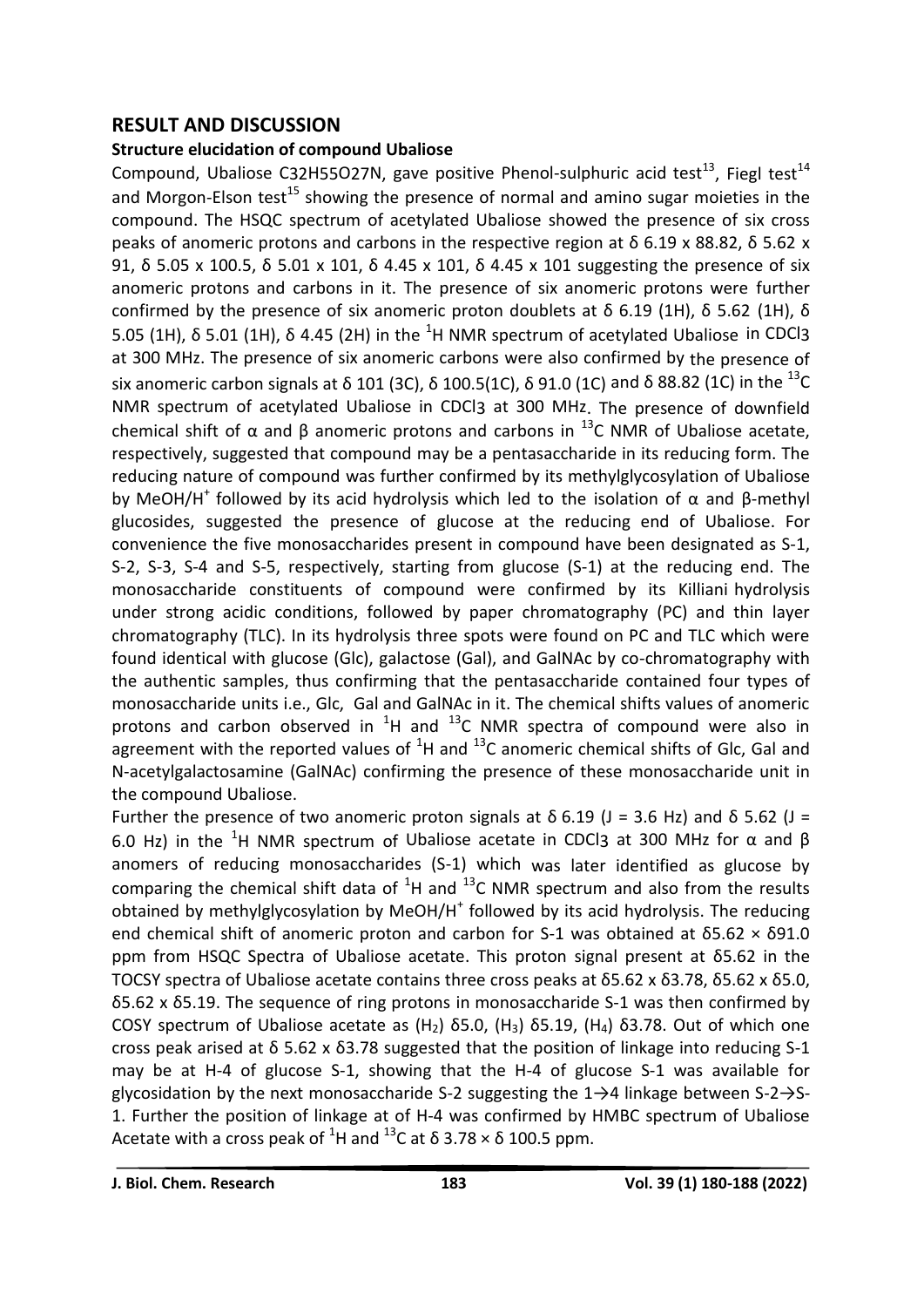#### **RESULT AND DISCUSSION**

#### **Structure elucidation of compound Ubaliose**

Compound, Ubaliose C32H55O27N, gave positive Phenol-sulphuric acid test<sup>13</sup>, Fiegl test<sup>14</sup> and Morgon-Elson test<sup>15</sup> showing the presence of normal and amino sugar moieties in the compound. The HSQC spectrum of acetylated Ubaliose showed the presence of six cross peaks of anomeric protons and carbons in the respective region at δ 6.19 x 88.82, δ 5.62 x 91, δ 5.05 x 100.5, δ 5.01 x 101, δ 4.45 x 101, δ 4.45 x 101 suggesting the presence of six anomeric protons and carbons in it. The presence of six anomeric protons were further confirmed by the presence of six anomeric proton doublets at  $\delta$  6.19 (1H),  $\delta$  5.62 (1H),  $\delta$ 5.05 (1H),  $\delta$  5.01 (1H),  $\delta$  4.45 (2H) in the <sup>1</sup>H NMR spectrum of acetylated Ubaliose in CDCl3 at 300 MHz. The presence of six anomeric carbons were also confirmed by the presence of six anomeric carbon signals at δ 101 (3C), δ 100.5(1C), δ 91.0 (1C) and δ 88.82 (1C) in the <sup>13</sup>C NMR spectrum of acetylated Ubaliose in CDCl3 at 300 MHz. The presence of downfield chemical shift of α and β anomeric protons and carbons in <sup>13</sup>C NMR of Ubaliose acetate, respectively, suggested that compound may be a pentasaccharide in its reducing form. The reducing nature of compound was further confirmed by its methylglycosylation of Ubaliose by MeOH/H<sup>+</sup> followed by its acid hydrolysis which led to the isolation of  $\alpha$  and  $\beta$ -methyl glucosides, suggested the presence of glucose at the reducing end of Ubaliose. For convenience the five monosaccharides present in compound have been designated as S-1, S-2, S-3, S-4 and S-5, respectively, starting from glucose (S-1) at the reducing end. The monosaccharide constituents of compound were confirmed by its Killiani hydrolysis under strong acidic conditions, followed by paper chromatography (PC) and thin layer chromatography (TLC). In its hydrolysis three spots were found on PC and TLC which were found identical with glucose (Glc), galactose (Gal), and GalNAc by co-chromatography with the authentic samples, thus confirming that the pentasaccharide contained four types of monosaccharide units i.e., Glc, Gal and GalNAc in it. The chemical shifts values of anomeric protons and carbon observed in  ${}^{1}H$  and  ${}^{13}C$  NMR spectra of compound were also in agreement with the reported values of  ${}^{1}H$  and  ${}^{13}C$  anomeric chemical shifts of Glc, Gal and N-acetylgalactosamine (GalNAc) confirming the presence of these monosaccharide unit in the compound Ubaliose.

Further the presence of two anomeric proton signals at δ 6.19 (J = 3.6 Hz) and δ 5.62 (J = 6.0 Hz) in the <sup>1</sup>H NMR spectrum of Ubaliose acetate in CDCl3 at 300 MHz for  $\alpha$  and  $\beta$ anomers of reducing monosaccharides (S-1) which was later identified as glucose by comparing the chemical shift data of  ${}^{1}H$  and  ${}^{13}C$  NMR spectrum and also from the results obtained by methylglycosylation by MeOH/H<sup>+</sup> followed by its acid hydrolysis. The reducing end chemical shift of anomeric proton and carbon for S-1 was obtained at δ5.62 × δ91.0 ppm from HSQC Spectra of Ubaliose acetate. This proton signal present at δ5.62 in the TOCSY spectra of Ubaliose acetate contains three cross peaks at δ5.62 x δ3.78, δ5.62 x δ5.0, δ5.62 x δ5.19. The sequence of ring protons in monosaccharide S-1 was then confirmed by COSY spectrum of Ubaliose acetate as  $(H_2)$  δ5.0,  $(H_3)$  δ5.19,  $(H_4)$  δ3.78. Out of which one cross peak arised at δ 5.62 x δ3.78 suggested that the position of linkage into reducing S-1 may be at H-4 of glucose S-1, showing that the H-4 of glucose S-1 was available for glycosidation by the next monosaccharide S-2 suggesting the  $1\rightarrow 4$  linkage between S-2 $\rightarrow$ S-1. Further the position of linkage at of H-4 was confirmed by HMBC spectrum of Ubaliose Acetate with a cross peak of <sup>1</sup>H and <sup>13</sup>C at  $\delta$  3.78  $\times$   $\delta$  100.5 ppm.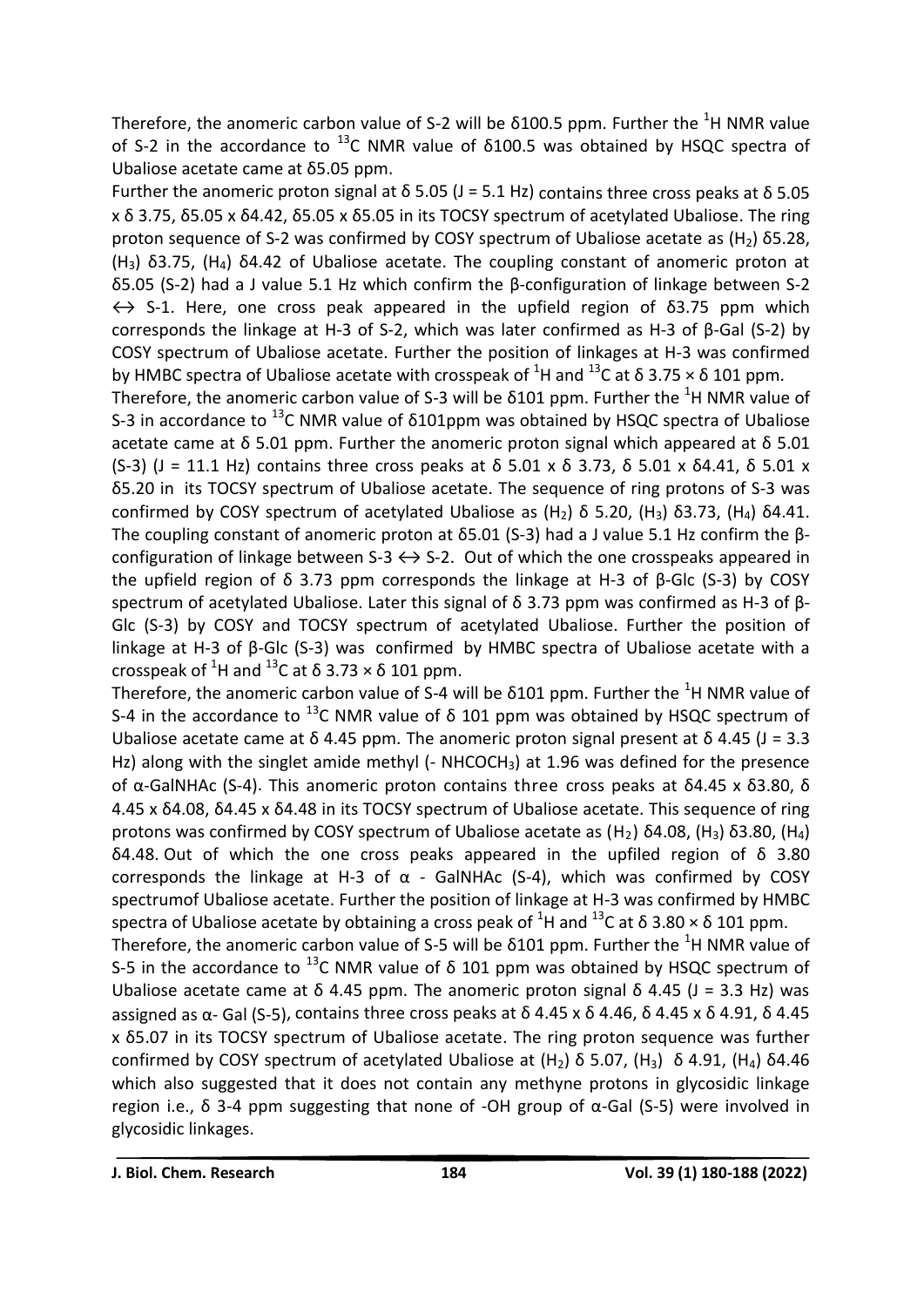Therefore, the anomeric carbon value of S-2 will be  $\delta$ 100.5 ppm. Further the <sup>1</sup>H NMR value of S-2 in the accordance to  $^{13}$ C NMR value of  $\delta$ 100.5 was obtained by HSQC spectra of Ubaliose acetate came at δ5.05 ppm.

Further the anomeric proton signal at δ 5.05 (J = 5.1 Hz) contains three cross peaks at δ 5.05 x δ 3.75, δ5.05 x δ4.42, δ5.05 x δ5.05 in its TOCSY spectrum of acetylated Ubaliose. The ring proton sequence of S-2 was confirmed by COSY spectrum of Ubaliose acetate as  $(H<sub>2</sub>)$  δ5.28, (H<sub>3</sub>) δ3.75, (H<sub>4</sub>) δ4.42 of Ubaliose acetate. The coupling constant of anomeric proton at δ5.05 (S-2) had a J value 5.1 Hz which confirm the β-configuration of linkage between S-2  $\leftrightarrow$  S-1. Here, one cross peak appeared in the upfield region of  $\delta$ 3.75 ppm which corresponds the linkage at H-3 of S-2, which was later confirmed as H-3 of β-Gal (S-2) by COSY spectrum of Ubaliose acetate. Further the position of linkages at H-3 was confirmed by HMBC spectra of Ubaliose acetate with crosspeak of  ${}^{1}$ H and  ${}^{13}$ C at  $\delta$  3.75  $\times$   $\delta$  101 ppm.

Therefore, the anomeric carbon value of S-3 will be  $\delta$ 101 ppm. Further the <sup>1</sup>H NMR value of S-3 in accordance to  $^{13}$ C NMR value of  $\delta$ 101ppm was obtained by HSQC spectra of Ubaliose acetate came at δ 5.01 ppm. Further the anomeric proton signal which appeared at δ 5.01 (S-3) (J = 11.1 Hz) contains three cross peaks at δ 5.01 x δ 3.73, δ 5.01 x δ 4.41, δ 5.01 x δ5.20 in its TOCSY spectrum of Ubaliose acetate. The sequence of ring protons of S-3 was confirmed by COSY spectrum of acetylated Ubaliose as  $(H<sub>2</sub>)$  δ 5.20,  $(H<sub>3</sub>)$  δ3.73,  $(H<sub>4</sub>)$  δ4.41. The coupling constant of anomeric proton at δ5.01 (S-3) had a J value 5.1 Hz confirm the βconfiguration of linkage between S-3  $\leftrightarrow$  S-2. Out of which the one crosspeaks appeared in the upfield region of δ 3.73 ppm corresponds the linkage at H-3 of β-Glc (S-3) by COSY spectrum of acetylated Ubaliose. Later this signal of δ 3.73 ppm was confirmed as H-3 of β-Glc (S-3) by COSY and TOCSY spectrum of acetylated Ubaliose. Further the position of linkage at H-3 of β-Glc (S-3) was confirmed by HMBC spectra of Ubaliose acetate with a crosspeak of <sup>1</sup>H and <sup>13</sup>C at  $\delta$  3.73  $\times$   $\delta$  101 ppm.

Therefore, the anomeric carbon value of S-4 will be  $\delta$ 101 ppm. Further the <sup>1</sup>H NMR value of S-4 in the accordance to <sup>13</sup>C NMR value of  $\delta$  101 ppm was obtained by HSQC spectrum of Ubaliose acetate came at  $\delta$  4.45 ppm. The anomeric proton signal present at  $\delta$  4.45 (J = 3.3 Hz) along with the singlet amide methyl (- NHCOCH<sub>3</sub>) at 1.96 was defined for the presence of α-GalNHAc (S-4). This anomeric proton contains three cross peaks at δ4.45 x δ3.80, δ 4.45 x δ4.08, δ4.45 x δ4.48 in its TOCSY spectrum of Ubaliose acetate. This sequence of ring protons was confirmed by COSY spectrum of Ubaliose acetate as  $(H_2)$  δ4.08,  $(H_3)$  δ3.80,  $(H_4)$ δ4.48. Out of which the one cross peaks appeared in the upfiled region of δ 3.80 corresponds the linkage at H-3 of α - GalNHAc (S-4), which was confirmed by COSY spectrumof Ubaliose acetate. Further the position of linkage at H-3 was confirmed by HMBC spectra of Ubaliose acetate by obtaining a cross peak of <sup>1</sup>H and <sup>13</sup>C at δ 3.80  $\times$  δ 101 ppm.

Therefore, the anomeric carbon value of S-5 will be  $\delta$ 101 ppm. Further the <sup>1</sup>H NMR value of S-5 in the accordance to <sup>13</sup>C NMR value of  $\delta$  101 ppm was obtained by HSQC spectrum of Ubaliose acetate came at δ 4.45 ppm. The anomeric proton signal δ 4.45 (J = 3.3 Hz) was assigned as  $\alpha$ - Gal (S-5), contains three cross peaks at δ 4.45 x δ 4.46, δ 4.45 x δ 4.91, δ 4.45 x δ5.07 in its TOCSY spectrum of Ubaliose acetate. The ring proton sequence was further confirmed by COSY spectrum of acetylated Ubaliose at  $(H_2)$  δ 5.07,  $(H_3)$  δ 4.91,  $(H_4)$  δ4.46 which also suggested that it does not contain any methyne protons in glycosidic linkage region i.e., δ 3-4 ppm suggesting that none of -OH group of  $\alpha$ -Gal (S-5) were involved in glycosidic linkages.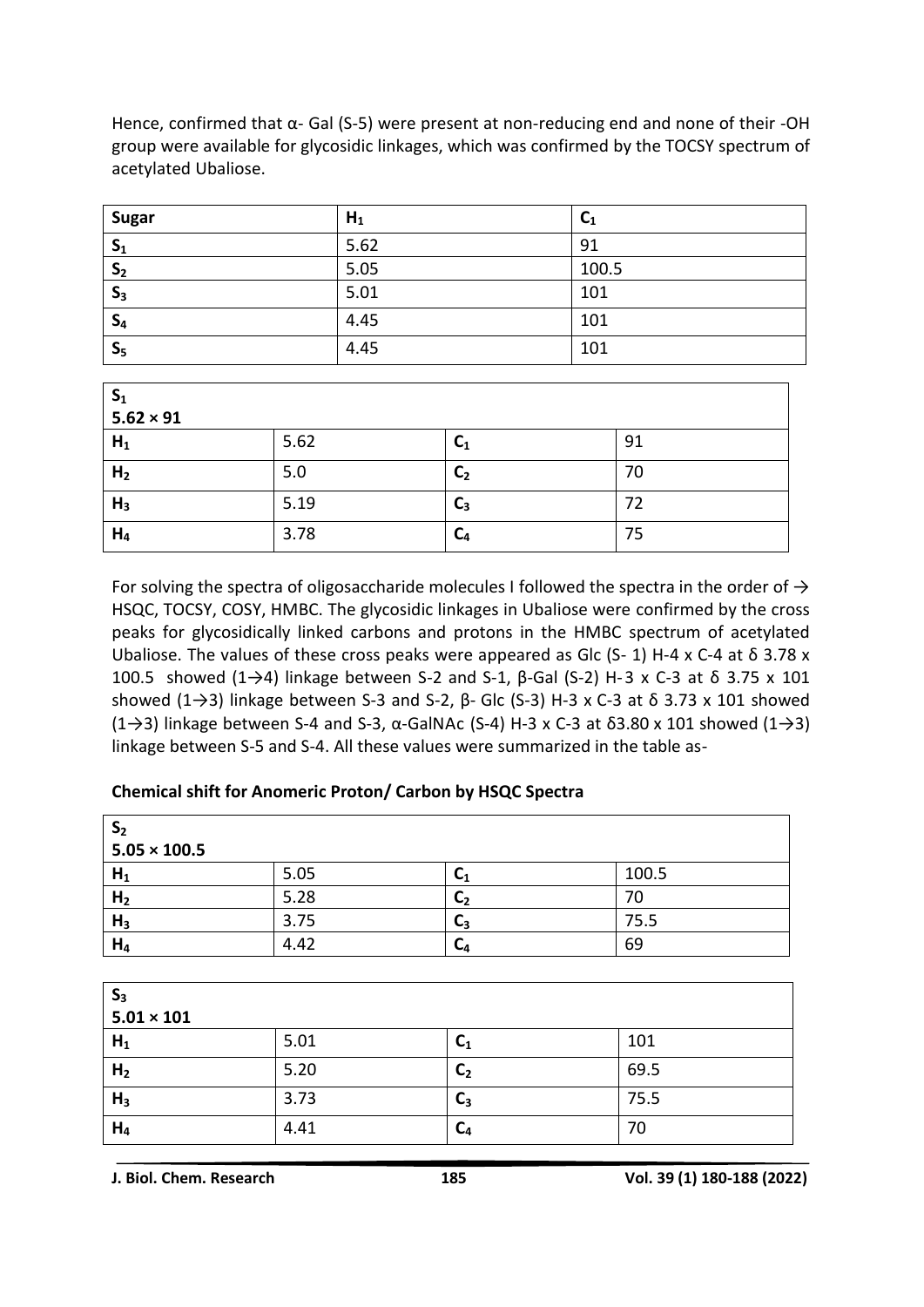| <b>Sugar</b>   | $H_1$ | $C_1$ |
|----------------|-------|-------|
| S <sub>1</sub> | 5.62  | 91    |
| S <sub>2</sub> | 5.05  | 100.5 |
| $S_3$          | 5.01  | 101   |
| $S_4$          | 4.45  | 101   |
| S <sub>5</sub> | 4.45  | 101   |

Hence, confirmed that α- Gal (S-5) were present at non-reducing end and none of their -OH group were available for glycosidic linkages, which was confirmed by the TOCSY spectrum of acetylated Ubaliose.

| $S_1$<br>$5.62 \times 91$ |      |                |    |  |
|---------------------------|------|----------------|----|--|
| $H_1$                     | 5.62 | C <sub>1</sub> | 91 |  |
| H <sub>2</sub>            | 5.0  | C <sub>2</sub> | 70 |  |
| $H_3$                     | 5.19 | $C_3$          | 72 |  |
| $H_4$                     | 3.78 | C <sub>4</sub> | 75 |  |

For solving the spectra of oligosaccharide molecules I followed the spectra in the order of  $\rightarrow$ HSQC, TOCSY, COSY, HMBC. The glycosidic linkages in Ubaliose were confirmed by the cross peaks for glycosidically linked carbons and protons in the HMBC spectrum of acetylated Ubaliose. The values of these cross peaks were appeared as Glc (S- 1) H-4 x C-4 at  $\delta$  3.78 x 100.5 showed (1→4) linkage between S-2 and S-1,  $\beta$ -Gal (S-2) H-3 x C-3 at  $\delta$  3.75 x 101 showed (1→3) linkage between S-3 and S-2,  $\beta$ - Glc (S-3) H-3 x C-3 at  $\delta$  3.73 x 101 showed (1→3) linkage between S-4 and S-3, α-GalNAc (S-4) H-3 x C-3 at δ3.80 x 101 showed (1→3) linkage between S-5 and S-4. All these values were summarized in the table as-

#### **Chemical shift for Anomeric Proton/ Carbon by HSQC Spectra**

| S <sub>2</sub><br>$5.05 \times 100.5$ |      |                      |       |
|---------------------------------------|------|----------------------|-------|
| H <sub>1</sub>                        | 5.05 | Ч                    | 100.5 |
| H <sub>2</sub>                        | 5.28 | <b>C<sub>2</sub></b> | 70    |
| H <sub>3</sub>                        | 3.75 | J3                   | 75.5  |
| $H_4$                                 | 4.42 | Ч                    | 69    |

| $S_3$          |                   |                |      |  |  |
|----------------|-------------------|----------------|------|--|--|
|                | $5.01 \times 101$ |                |      |  |  |
| $H_1$          | 5.01              | C <sub>1</sub> | 101  |  |  |
| H <sub>2</sub> | 5.20              | C <sub>2</sub> | 69.5 |  |  |
| $H_3$          | 3.73              | $C_3$          | 75.5 |  |  |
| $H_4$          | 4.41              | C <sub>4</sub> | 70   |  |  |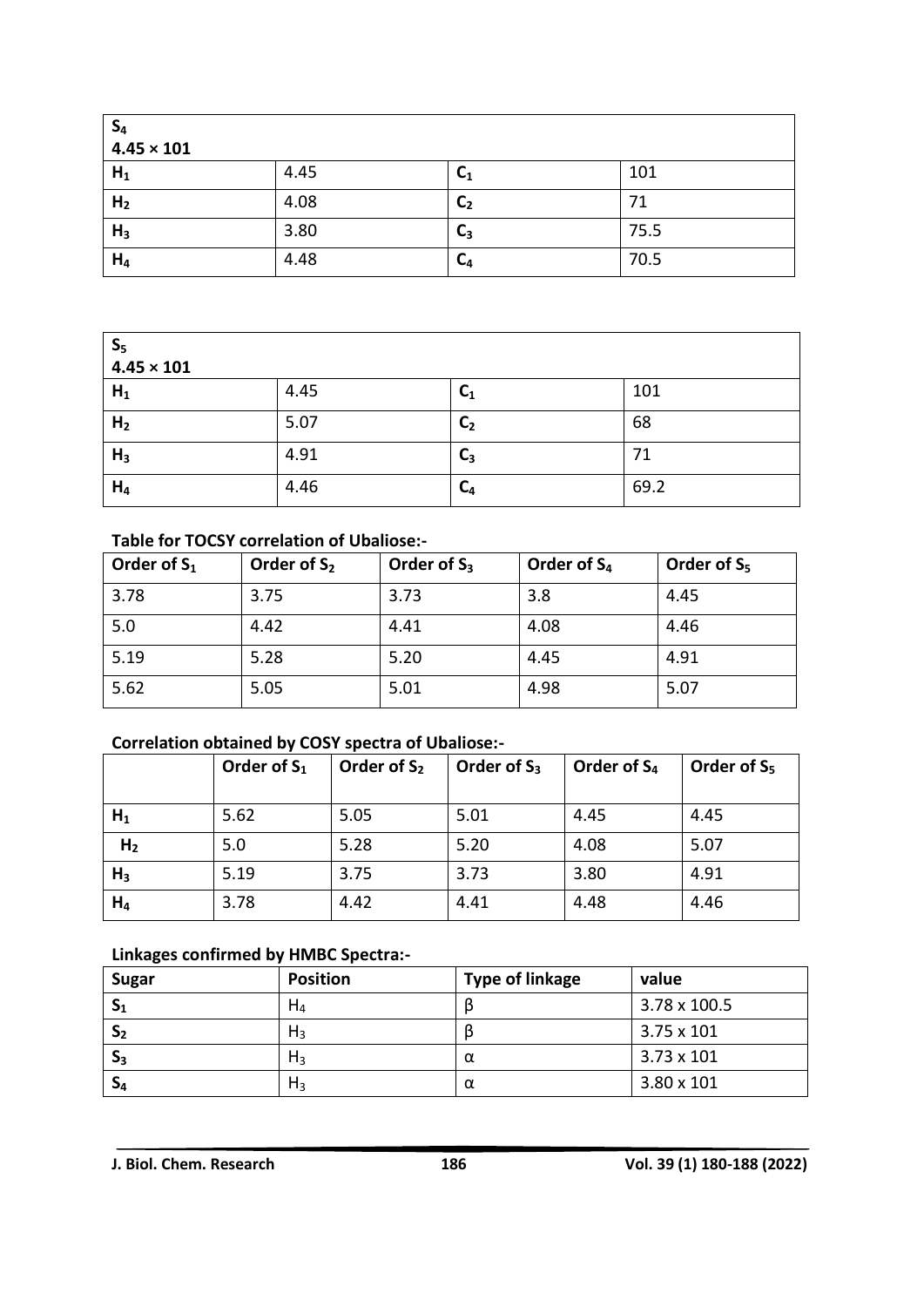| $S_4$<br>$4.45 \times 101$ |      |                |      |  |
|----------------------------|------|----------------|------|--|
| $H_1$                      | 4.45 | C <sub>1</sub> | 101  |  |
| H <sub>2</sub>             | 4.08 | C <sub>2</sub> | 71   |  |
| H <sub>3</sub>             | 3.80 | $C_3$          | 75.5 |  |
| $H_4$                      | 4.48 | $C_4$          | 70.5 |  |

| $S_5$<br>$4.45 \times 101$ |      |                |      |  |
|----------------------------|------|----------------|------|--|
| $H_1$                      | 4.45 | $C_1$          | 101  |  |
| H <sub>2</sub>             | 5.07 | C <sub>2</sub> | 68   |  |
| $H_3$                      | 4.91 | ◠<br>J3        | 71   |  |
| $H_4$                      | 4.46 | $C_4$          | 69.2 |  |

### **Table for TOCSY correlation of Ubaliose:-**

| Order of $S_1$ | Order of $S_2$ | Order of $S_3$ | Order of S <sub>4</sub> | Order of $S_5$ |
|----------------|----------------|----------------|-------------------------|----------------|
| 3.78           | 3.75           | 3.73           | 3.8                     | 4.45           |
| 5.0            | 4.42           | 4.41           | 4.08                    | 4.46           |
| 5.19           | 5.28           | 5.20           | 4.45                    | 4.91           |
| 5.62           | 5.05           | 5.01           | 4.98                    | 5.07           |

#### **Correlation obtained by COSY spectra of Ubaliose:-**

|                | Order of $S_1$ | Order of $S_2$ | Order of $S_3$ | Order of $S_4$ | Order of $S_5$ |
|----------------|----------------|----------------|----------------|----------------|----------------|
| $H_1$          | 5.62           | 5.05           | 5.01           | 4.45           | 4.45           |
| H <sub>2</sub> | 5.0            | 5.28           | 5.20           | 4.08           | 5.07           |
| H <sub>3</sub> | 5.19           | 3.75           | 3.73           | 3.80           | 4.91           |
| $H_4$          | 3.78           | 4.42           | 4.41           | 4.48           | 4.46           |

#### **Linkages confirmed by HMBC Spectra:-**

| <b>Sugar</b>   | <b>Position</b> | <b>Type of linkage</b> | value             |
|----------------|-----------------|------------------------|-------------------|
| $S_1$          | $H_4$           |                        | 3.78 x 100.5      |
| S <sub>2</sub> | $H_3$           |                        | 3.75 x 101        |
| $S_3$          | $H_3$           | α                      | $3.73 \times 101$ |
| $S_4$          | $H_3$           | α                      | $3.80 \times 101$ |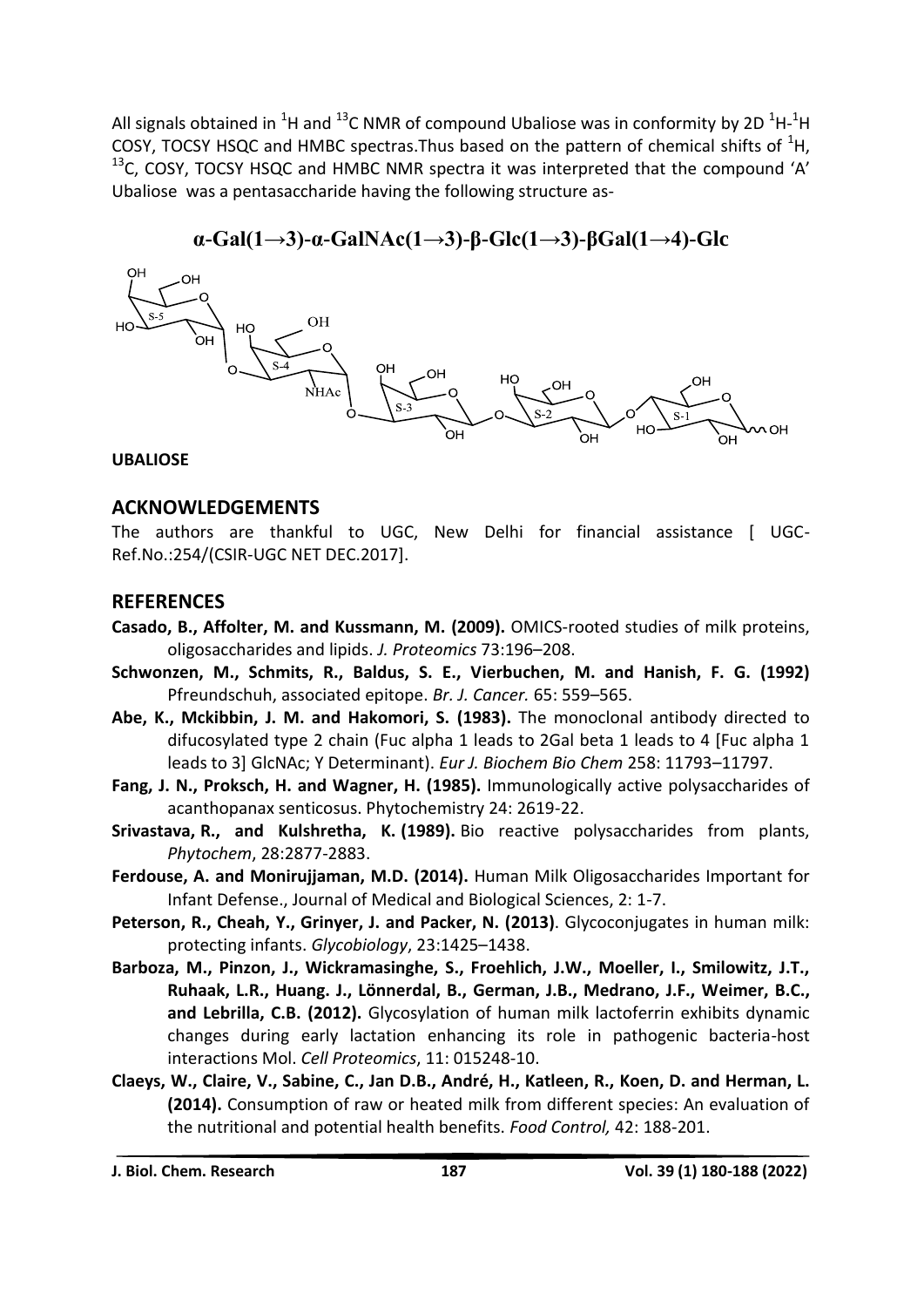All signals obtained in <sup>1</sup>H and <sup>13</sup>C NMR of compound Ubaliose was in conformity by 2D <sup>1</sup>H-<sup>1</sup>H COSY, TOCSY HSQC and HMBC spectras. Thus based on the pattern of chemical shifts of  ${}^{1}H$ ,  $13$ C, COSY, TOCSY HSQC and HMBC NMR spectra it was interpreted that the compound 'A' Ubaliose was a pentasaccharide having the following structure as-

## **α-Gal(1→3)-α-GalNAc(1→3)-β-Glc(1→3)-βGal(1→4)-Glc**



**UBALIOSE**

### **ACKNOWLEDGEMENTS**

The authors are thankful to UGC, New Delhi for financial assistance [ UGC-Ref.No.:254/(CSIR-UGC NET DEC.2017].

### **REFERENCES**

- **Casado, B., Affolter, M. and Kussmann, M. (2009).** OMICS-rooted studies of milk proteins, oligosaccharides and lipids. *J. Proteomics* 73:196–208.
- **Schwonzen, M., Schmits, R., Baldus, S. E., Vierbuchen, M. and Hanish, F. G. (1992)** Pfreundschuh, associated epitope. *Br. J. Cancer.* 65: 559–565.
- **Abe, K., Mckibbin, J. M. and Hakomori, S. (1983).** The monoclonal antibody directed to difucosylated type 2 chain (Fuc alpha 1 leads to 2Gal beta 1 leads to 4 [Fuc alpha 1 leads to 3] GlcNAc; Y Determinant). *Eur J. Biochem Bio Chem* 258: 11793–11797.
- **Fang, J. N., Proksch, H. and Wagner, H. (1985).** Immunologically active polysaccharides of acanthopanax senticosus. Phytochemistry 24: 2619-22.
- **Srivastava, R., and Kulshretha, K. (1989).** Bio reactive polysaccharides from plants, *Phytochem*, 28:2877-2883.
- **Ferdouse, A. and Monirujjaman, M.D. (2014).** Human Milk Oligosaccharides Important for Infant Defense., Journal of Medical and Biological Sciences, 2: 1-7.
- **Peterson, R., Cheah, Y., Grinyer, J. and Packer, N. (2013)**. Glycoconjugates in human milk: protecting infants. *Glycobiology*, 23:1425–1438.
- **Barboza, M., Pinzon, J., Wickramasinghe, S., Froehlich, J.W., Moeller, I., Smilowitz, J.T., Ruhaak, L.R., Huang. J., Lönnerdal, B., German, J.B., Medrano, J.F., Weimer, B.C., and Lebrilla, C.B. (2012).** Glycosylation of human milk lactoferrin exhibits dynamic changes during early lactation enhancing its role in pathogenic bacteria-host interactions Mol. *Cell Proteomics*, 11: 015248-10.
- **Claeys, W., Claire, V., Sabine, C., Jan D.B., André, H., Katleen, R., Koen, D. and Herman, L. (2014).** Consumption of raw or heated milk from different species: An evaluation of the nutritional and potential health benefits. *Food Control,* 42: 188-201.